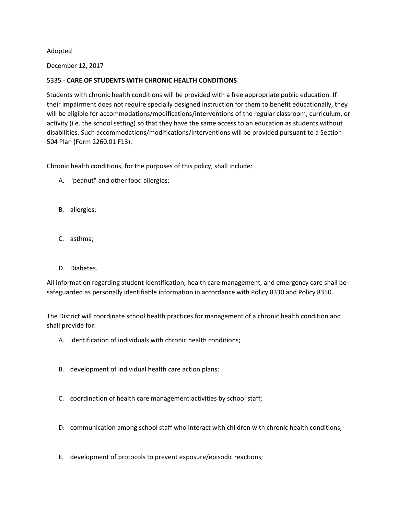## Adopted

December 12, 2017

## 5335 - **CARE OF STUDENTS WITH CHRONIC HEALTH CONDITIONS**

Students with chronic health conditions will be provided with a free appropriate public education. If their impairment does not require specially designed instruction for them to benefit educationally, they will be eligible for accommodations/modifications/interventions of the regular classroom, curriculum, or activity (i.e. the school setting) so that they have the same access to an education as students without disabilities. Such accommodations/modifications/interventions will be provided pursuant to a Section 504 Plan (Form 2260.01 F13).

Chronic health conditions, for the purposes of this policy, shall include:

- A. "peanut" and other food allergies;
- B. allergies;
- C. asthma;
- D. Diabetes.

All information regarding student identification, health care management, and emergency care shall be safeguarded as personally identifiable information in accordance with Policy 8330 and Policy 8350.

The District will coordinate school health practices for management of a chronic health condition and shall provide for:

- A. identification of individuals with chronic health conditions;
- B. development of individual health care action plans;
- C. coordination of health care management activities by school staff;
- D. communication among school staff who interact with children with chronic health conditions;
- E. development of protocols to prevent exposure/episodic reactions;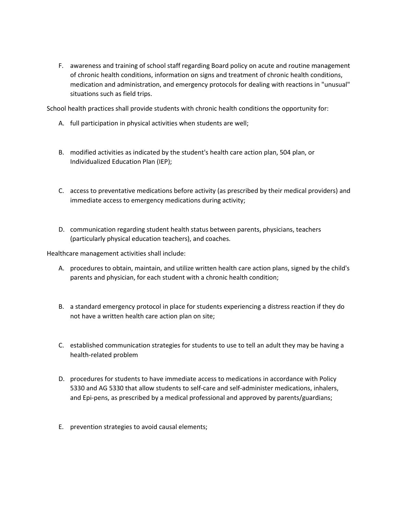F. awareness and training of school staff regarding Board policy on acute and routine management of chronic health conditions, information on signs and treatment of chronic health conditions, medication and administration, and emergency protocols for dealing with reactions in "unusual" situations such as field trips.

School health practices shall provide students with chronic health conditions the opportunity for:

- A. full participation in physical activities when students are well;
- B. modified activities as indicated by the student's health care action plan, 504 plan, or Individualized Education Plan (IEP);
- C. access to preventative medications before activity (as prescribed by their medical providers) and immediate access to emergency medications during activity;
- D. communication regarding student health status between parents, physicians, teachers (particularly physical education teachers), and coaches.

Healthcare management activities shall include:

- A. procedures to obtain, maintain, and utilize written health care action plans, signed by the child's parents and physician, for each student with a chronic health condition;
- B. a standard emergency protocol in place for students experiencing a distress reaction if they do not have a written health care action plan on site;
- C. established communication strategies for students to use to tell an adult they may be having a health-related problem
- D. procedures for students to have immediate access to medications in accordance with Policy 5330 and AG 5330 that allow students to self-care and self-administer medications, inhalers, and Epi-pens, as prescribed by a medical professional and approved by parents/guardians;
- E. prevention strategies to avoid causal elements;